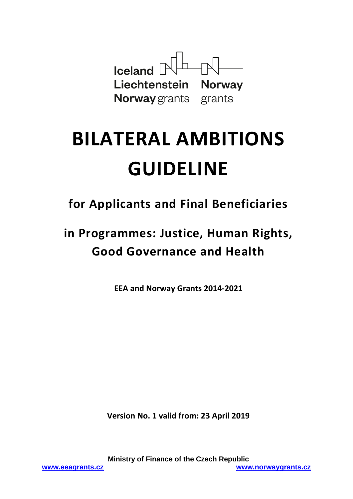

# **BILATERAL AMBITIONS GUIDELINE**

**for Applicants and Final Beneficiaries**

**in Programmes: Justice, Human Rights, Good Governance and Health**

**EEA and Norway Grants 2014-2021**

**Version No. 1 valid from: 23 April 2019**

**Ministry of Finance of the Czech Republic [www.eeagrants.cz](http://www.eeagrants.cz/) [www.norwaygrants.cz](http://www.norwaygrants.cz/)**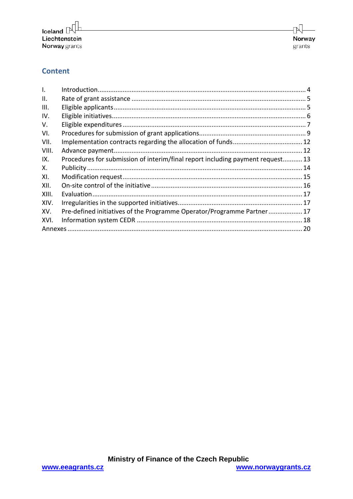## **Content**

| $\mathsf{L}$ |                                                                                |  |  |
|--------------|--------------------------------------------------------------------------------|--|--|
| ΙΙ.          |                                                                                |  |  |
| III.         |                                                                                |  |  |
| IV.          |                                                                                |  |  |
| V.           |                                                                                |  |  |
| VI.          |                                                                                |  |  |
| VII.         |                                                                                |  |  |
| VIII.        |                                                                                |  |  |
| IX.          | Procedures for submission of interim/final report including payment request 13 |  |  |
| Χ.           |                                                                                |  |  |
| XI.          |                                                                                |  |  |
| XII.         |                                                                                |  |  |
| XIII.        |                                                                                |  |  |
| XIV.         |                                                                                |  |  |
| XV.          | Pre-defined initiatives of the Programme Operator/Programme Partner 17         |  |  |
| XVI.         |                                                                                |  |  |
|              |                                                                                |  |  |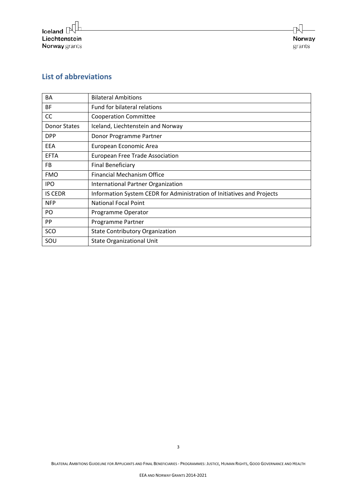# **List of abbreviations**

| BA                  | <b>Bilateral Ambitions</b>                                             |
|---------------------|------------------------------------------------------------------------|
| BF                  | Fund for bilateral relations                                           |
| CC                  | <b>Cooperation Committee</b>                                           |
| <b>Donor States</b> | Iceland, Liechtenstein and Norway                                      |
| <b>DPP</b>          | Donor Programme Partner                                                |
| EEA                 | European Economic Area                                                 |
| <b>EFTA</b>         | <b>European Free Trade Association</b>                                 |
| FB                  | <b>Final Beneficiary</b>                                               |
| <b>FMO</b>          | Financial Mechanism Office                                             |
| <b>IPO</b>          | International Partner Organization                                     |
| <b>IS CEDR</b>      | Information System CEDR for Administration of Initiatives and Projects |
| <b>NFP</b>          | <b>National Focal Point</b>                                            |
| PO                  | Programme Operator                                                     |
| PP                  | Programme Partner                                                      |
| SCO                 | <b>State Contributory Organization</b>                                 |
| SOU                 | <b>State Organizational Unit</b>                                       |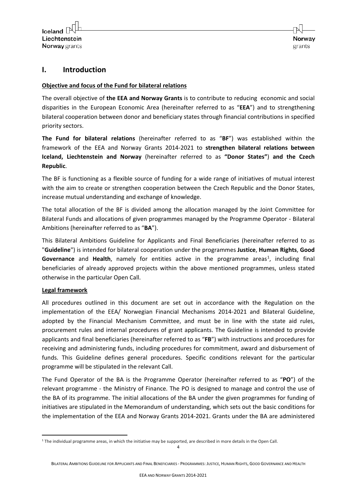## <span id="page-3-0"></span>**I. Introduction**

#### **Objective and focus of the Fund for bilateral relations**

The overall objective of **the EEA and Norway Grants** is to contribute to reducing economic and social disparities in the European Economic Area (hereinafter referred to as "**EEA**") and to strengthening bilateral cooperation between donor and beneficiary states through financial contributions in specified priority sectors.

**The Fund for bilateral relations** (hereinafter referred to as "**BF**") was established within the framework of the EEA and Norway Grants 2014-2021 to **strengthen bilateral relations between Iceland, Liechtenstein and Norway** (hereinafter referred to as **"Donor States"**) **and the Czech Republic**.

The BF is functioning as a flexible source of funding for a wide range of initiatives of mutual interest with the aim to create or strengthen cooperation between the Czech Republic and the Donor States, increase mutual understanding and exchange of knowledge.

The total allocation of the BF is divided among the allocation managed by the Joint Committee for Bilateral Funds and allocations of given programmes managed by the Programme Operator - Bilateral Ambitions (hereinafter referred to as "**BA**").

This Bilateral Ambitions Guideline for Applicants and Final Beneficiaries (hereinafter referred to as "**Guideline**") is intended for bilateral cooperation under the programmes **Justice**, **Human Rights**, **Good**  Governance and Health, namely for entities active in the programme areas<sup>[1](#page-3-1)</sup>, including final beneficiaries of already approved projects within the above mentioned programmes, unless stated otherwise in the particular Open Call.

#### **Legal framework**

All procedures outlined in this document are set out in accordance with the Regulation on the implementation of the EEA/ Norwegian Financial Mechanisms 2014-2021 and Bilateral Guideline, adopted by the Financial Mechanism Committee, and must be in line with the state aid rules, procurement rules and internal procedures of grant applicants. The Guideline is intended to provide applicants and final beneficiaries (hereinafter referred to as "**FB**") with instructions and procedures for receiving and administering funds, including procedures for commitment, award and disbursement of funds. This Guideline defines general procedures. Specific conditions relevant for the particular programme will be stipulated in the relevant Call.

The Fund Operator of the BA is the Programme Operator (hereinafter referred to as "**PO**") of the relevant programme - the Ministry of Finance. The PO is designed to manage and control the use of the BA of its programme. The initial allocations of the BA under the given programmes for funding of initiatives are stipulated in the Memorandum of understanding, which sets out the basic conditions for the implementation of the EEA and Norway Grants 2014-2021. Grants under the BA are administered

4

<span id="page-3-1"></span><sup>&</sup>lt;u>.</u> <sup>1</sup> The individual programme areas, in which the initiative may be supported, are described in more details in the Open Call.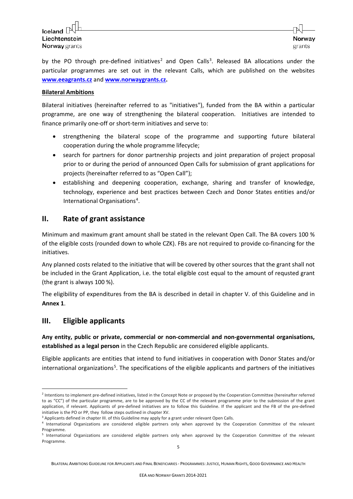by the PO through pre-defined initiatives<sup>[2](#page-4-2)</sup> and Open Calls<sup>[3](#page-4-3)</sup>. Released BA allocations under the particular programmes are set out in the relevant Calls, which are published on the websites **www.eeagrants.cz** and **www.norwaygrants.cz.**

#### **Bilateral Ambitions**

Bilateral initiatives (hereinafter referred to as "initiatives"), funded from the BA within a particular programme, are one way of strengthening the bilateral cooperation. Initiatives are intended to finance primarily one-off or short-term initiatives and serve to:

- strengthening the bilateral scope of the programme and supporting future bilateral cooperation during the whole programme lifecycle;
- search for partners for donor partnership projects and joint preparation of project proposal prior to or during the period of announced Open Calls for submission of grant applications for projects (hereinafter referred to as "Open Call");
- establishing and deepening cooperation, exchange, sharing and transfer of knowledge, technology, experience and best practices between Czech and Donor States entities and/or International Organisations<sup>[4](#page-4-4)</sup>.

#### <span id="page-4-0"></span>**II. Rate of grant assistance**

Minimum and maximum grant amount shall be stated in the relevant Open Call. The BA covers 100 % of the eligible costs (rounded down to whole CZK). FBs are not required to provide co-financing for the initiatives.

Any planned costs related to the initiative that will be covered by other sources that the grant shall not be included in the Grant Application, i.e. the total eligible cost equal to the amount of requsted grant (the grant is always 100 %).

The eligibility of expenditures from the BA is described in detail in chapter V. of this Guideline and in **Annex 1**.

#### <span id="page-4-1"></span>**III. Eligible applicants**

<u>.</u>

**Any entity, public or private, commercial or non-commercial and non-governmental organisations, established as a legal person** in the Czech Republic are considered eligible applicants.

Eligible applicants are entities that intend to fund initiatives in cooperation with Donor States and/or international organizations<sup>[5](#page-4-5)</sup>. The specifications of the eligible applicants and partners of the initiatives

BILATERAL AMBITIONS GUIDELINE FOR APPLICANTS AND FINAL BENEFICIARIES - PROGRAMMES: JUSTICE, HUMAN RIGHTS, GOOD GOVERNANCE AND HEALTH

<span id="page-4-2"></span><sup>&</sup>lt;sup>2</sup> Intentions to implement pre-defined initiatives, listed in the Concept Note or proposed by the Cooperation Committee (hereinafter referred to as "CC") of the particular programme, are to be approved by the CC of the relevant programme prior to the submission of the grant application, if relevant. Applicants of pre-defined initiatives are to follow this Guideline. If the applicant and the FB of the pre-defined initiative is the PO or PP, they follow steps outlined in chapter XV.

<sup>&</sup>lt;sup>3</sup> Applicants defined in chapter III. of this Guideline may apply for a grant under relevant Open Calls.

<span id="page-4-4"></span><span id="page-4-3"></span><sup>4</sup> International Organizations are considered eligible partners only when approved by the Cooperation Committee of the relevant Programme.

<span id="page-4-5"></span><sup>5</sup> International Organizations are considered eligible partners only when approved by the Cooperation Committee of the relevant Programme.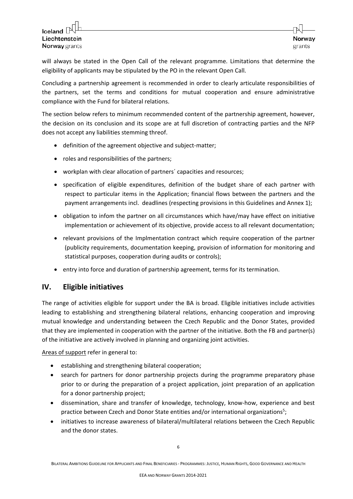will always be stated in the Open Call of the relevant programme. Limitations that determine the eligibility of applicants may be stipulated by the PO in the relevant Open Call.

Concluding a partnership agreement is recommended in order to clearly articulate responsibilities of the partners, set the terms and conditions for mutual cooperation and ensure administrative compliance with the Fund for bilateral relations.

The section below refers to minimum recommended content of the partnership agreement, however, the decision on its conclusion and its scope are at full discretion of contracting parties and the NFP does not accept any liabilities stemming threof.

- definition of the agreement objective and subject-matter;
- roles and responsibilities of the partners;
- workplan with clear allocation of partners´ capacities and resources;
- specification of eligible expenditures, definition of the budget share of each partner with respect to particular items in the Application; financial flows between the partners and the payment arrangements incl. deadlines (respecting provisions in this Guidelines and Annex 1);
- obligation to infom the partner on all circumstances which have/may have effect on initiative implementation or achievement of its objective, provide access to all relevant documentation;
- relevant provisions of the Implmentation contract which require cooperation of the partner (publicity requirements, documentation keeping, provision of information for monitoring and statistical purposes, cooperation during audits or controls);
- entry into force and duration of partnership agreement, terms for its termination.

## <span id="page-5-0"></span>**IV. Eligible initiatives**

The range of activities eligible for support under the BA is broad. Eligible initiatives include activities leading to establishing and strengthening bilateral relations, enhancing cooperation and improving mutual knowledge and understanding between the Czech Republic and the Donor States, provided that they are implemented in cooperation with the partner of the initiative. Both the FB and partner(s) of the initiative are actively involved in planning and organizing joint activities.

Areas of support refer in general to:

- establishing and strengthening bilateral cooperation;
- search for partners for donor partnership projects during the programme preparatory phase prior to or during the preparation of a project application, joint preparation of an application for a donor partnership project;
- dissemination, share and transfer of knowledge, technology, know-how, experience and best practice between Czech and Donor State entities and/or international organizations<sup>5</sup>;
- initiatives to increase awareness of bilateral/multilateral relations between the Czech Republic and the donor states.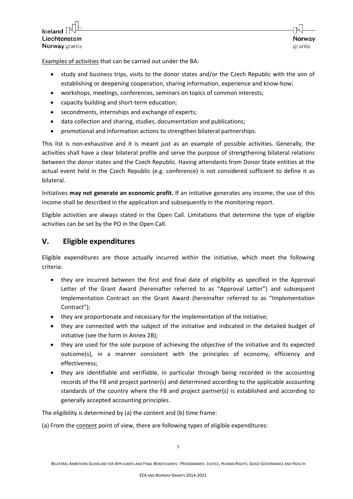Examples of activities that can be carried out under the BA:

- study and business trips, visits to the donor states and/or the Czech Republic with the aim of establishing or deepening cooperation, sharing information, experience and know-how;
- workshops, meetings, conferences, seminars on topics of common interests;
- capacity building and short-term education;
- secondments, internships and exchange of experts;
- data collection and sharing, studies, documentation and publications;
- promotional and information actions to strengthen bilateral partnerships.

This list is non-exhaustive and it is meant just as an example of possible activities. Generally, the activities shall have a clear bilateral profile and serve the purpose of strengthening bilateral relations between the donor states and the Czech Republic. Having attendants from Donor State entities at the actual event held in the Czech Republic (e.g. conference) is not considered sufficient to define it as bilateral.

Initiatives **may not generate an economic profit.** If an initiative generates any income, the use of this income shall be described in the application and subsequently in the monitoring report.

Eligible activities are always stated in the Open Call. Limitations that determine the type of eligible activities can be set by the PO in the Open Call.

## <span id="page-6-0"></span>**V. Eligible expenditures**

Eligible expenditures are those actually incurred within the initiative, which meet the following criteria:

- they are incurred between the first and final date of eligibility as specified in the Approval Letter of the Grant Award (hereinafter referred to as "Approval Letter") and subsequent Implementation Contract on the Grant Award (hereinafter referred to as "Implementation Contract");
- they are proportionate and necessary for the implementation of the initiative;
- they are connected with the subject of the initiative and indicated in the detailed budget of initiative (see the form in Annex 2B);
- they are used for the sole purpose of achieving the objective of the initiative and its expected outcome(s), in a manner consistent with the principles of economy, efficiency and effectiveness;
- they are identifiable and verifiable, in particular through being recorded in the accounting records of the FB and project partner(s) and determined according to the applicable accounting standards of the country where the FB and project partner(s) is established and according to generally accepted accounting principles.

The eligibility is determined by (a) the content and (b) time frame:

(a) From the content point of view, there are following types of eligible expenditures: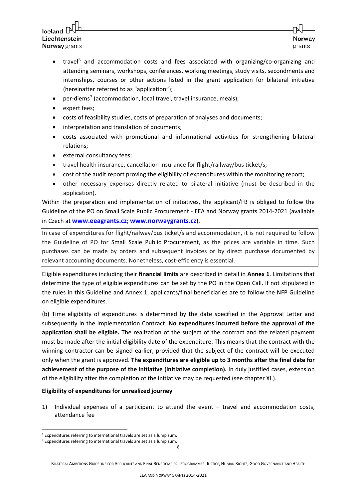- travel<sup>[6](#page-7-0)</sup> and accommodation costs and fees associated with organizing/co-organizing and attending seminars, workshops, conferences, working meetings, study visits, secondments and internships, courses or other actions listed in the grant application for bilateral initiative (hereinafter referred to as "application");
- per-diems<sup>[7](#page-7-1)</sup> (accommodation, local travel, travel insurance, meals);
- expert fees;
- costs of feasibility studies, costs of preparation of analyses and documents;
- interpretation and translation of documents;
- costs associated with promotional and informational activities for strengthening bilateral relations;
- external consultancy fees;
- travel health insurance, cancellation insurance for flight/railway/bus ticket/s;
- cost of the audit report proving the eligibility of expenditures within the monitoring report;
- other necessary expenses directly related to bilateral initiative (must be described in the application).

Within the preparation and implementation of initiatives, the applicant/FB is obliged to follow the Guideline of the PO on Small Scale Public Procurement - EEA and Norway grants 2014-2021 (available in Czech at **[www.eeagrants.cz](http://www.eeagrants.cz/)**; **[www.norwaygrants.cz](http://www.norwaygrants.cz/)**).

In case of expenditures for flight/railway/bus ticket/s and accommodation, it is not required to follow the Guideline of PO for Small Scale Public Procurement, as the prices are variable in time. Such purchases can be made by orders and subsequent invoices or by direct purchase documented by relevant accounting documents. Nonetheless, cost-efficiency is essential.

Eligible expenditures including their **financial limits** are described in detail in **Annex 1**. Limitations that determine the type of eligible expenditures can be set by the PO in the Open Call. If not stipulated in the rules in this Guideline and Annex 1, applicants/final beneficiaries are to follow the NFP Guideline on eligible expenditures.

(b) Time eligibility of expenditures is determined by the date specified in the Approval Letter and subsequently in the Implementation Contract. **No expenditures incurred before the approval of the application shall be eligible.** The realization of the subject of the contract and the related payment must be made after the initial eligibility date of the expenditure. This means that the contract with the winning contractor can be signed earlier, provided that the subject of the contract will be executed only when the grant is approved. **The expenditures are eligible up to 3 months after the final date for achievement of the purpose of the initiative (initiative completion).** In duly justified cases, extension of the eligibility after the completion of the initiative may be requested (see chapter XI.).

#### **Eligibility of expenditures for unrealized journey**

1) Individual expenses of a participant to attend the event – travel and accommodation costs, attendance fee

-

BILATERAL AMBITIONS GUIDELINE FOR APPLICANTS AND FINAL BENEFICIARIES - PROGRAMMES: JUSTICE, HUMAN RIGHTS, GOOD GOVERNANCE AND HEALTH

<span id="page-7-0"></span><sup>6</sup> Expenditures referring to international travels are set as a lump sum.

<span id="page-7-1"></span> $<sup>7</sup>$  Expenditures referring to international travels are set as a lump sum.</sup>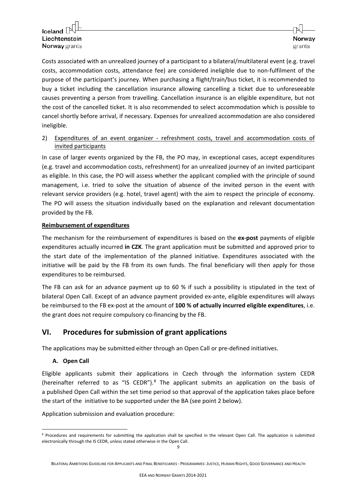Costs associated with an unrealized journey of a participant to a bilateral/multilateral event (e.g. travel costs, accommodation costs, attendance fee) are considered ineligible due to non-fulfilment of the purpose of the participant's journey. When purchasing a flight/train/bus ticket, it is recommended to buy a ticket including the cancellation insurance allowing cancelling a ticket due to unforeseeable causes preventing a person from travelling. Cancellation insurance is an eligible expenditure, but not the cost of the cancelled ticket. It is also recommended to select accommodation which is possible to cancel shortly before arrival, if necessary. Expenses for unrealized accommodation are also considered ineligible.

#### 2) Expenditures of an event organizer - refreshment costs, travel and accommodation costs of invited participants

In case of larger events organized by the FB, the PO may, in exceptional cases, accept expenditures (e.g. travel and accommodation costs, refreshment) for an unrealized journey of an invited participant as eligible. In this case, the PO will assess whether the applicant complied with the principle of sound management, i.e. tried to solve the situation of absence of the invited person in the event with relevant service providers (e.g. hotel, travel agent) with the aim to respect the principle of economy. The PO will assess the situation individually based on the explanation and relevant documentation provided by the FB.

#### **Reimbursement of expenditures**

The mechanism for the reimbursement of expenditures is based on the **ex-post** payments of eligible expenditures actually incurred **in CZK**. The grant application must be submitted and approved prior to the start date of the implementation of the planned initiative. Expenditures associated with the initiative will be paid by the FB from its own funds. The final beneficiary will then apply for those expenditures to be reimbursed.

The FB can ask for an advance payment up to 60 % if such a possibility is stipulated in the text of bilateral Open Call. Except of an advance payment provided ex-ante, eligible expenditures will always be reimbursed to the FB ex-post at the amount of **100 % of actually incurred eligible expenditures**, i.e. the grant does not require compulsory co-financing by the FB.

## <span id="page-8-0"></span>**VI. Procedures for submission of grant applications**

The applications may be submitted either through an Open Call or pre-defined initiatives.

#### **A. Open Call**

Eligible applicants submit their applications in Czech through the information system CEDR (hereinafter referred to as "IS CEDR"). $8$  The applicant submits an application on the basis of a published Open Call within the set time period so that approval of the application takes place before the start of the initiative to be supported under the BA (see point 2 below).

Application submission and evaluation procedure:

<span id="page-8-1"></span><sup>-</sup><sup>8</sup> Procedures and requirements for submitting the application shall be specified in the relevant Open Call. The application is submitted electronically through the IS CEDR, unless stated otherwise in the Open Call.

BILATERAL AMBITIONS GUIDELINE FOR APPLICANTS AND FINAL BENEFICIARIES - PROGRAMMES: JUSTICE, HUMAN RIGHTS, GOOD GOVERNANCE AND HEALTH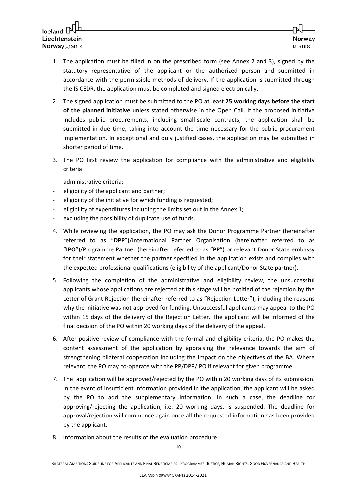- 1. The application must be filled in on the prescribed form (see Annex 2 and 3), signed by the statutory representative of the applicant or the authorized person and submitted in accordance with the permissible methods of delivery. If the application is submitted through the IS CEDR, the application must be completed and signed electronically.
- 2. The signed application must be submitted to the PO at least **25 working days before the start of the planned initiative** unless stated otherwise in the Open Call. If the proposed initiative includes public procurements, including small-scale contracts, the application shall be submitted in due time, taking into account the time necessary for the public procurement implementation. In exceptional and duly justified cases, the application may be submitted in shorter period of time.
- 3. The PO first review the application for compliance with the administrative and eligibility criteria:
- administrative criteria;
- eligibility of the applicant and partner;
- eligibility of the initiative for which funding is requested;
- eligibility of expenditures including the limits set out in the Annex 1;
- excluding the possibility of duplicate use of funds.
- 4. While reviewing the application, the PO may ask the Donor Programme Partner (hereinafter referred to as "**DPP**")/International Partner Organisation (hereinafter referred to as "**IPO**")/Programme Partner (hereinafter referred to as "**PP**") or relevant Donor State embassy for their statement whether the partner specified in the application exists and complies with the expected professional qualifications (eligibility of the applicant/Donor State partner).
- 5. Following the completion of the administrative and eligibility review, the unsuccessful applicants whose applications are rejected at this stage will be notified of the rejection by the Letter of Grant Rejection (hereinafter referred to as "Rejection Letter"), including the reasons why the initiative was not approved for funding. Unsuccessful applicants may appeal to the PO within 15 days of the delivery of the Rejection Letter. The applicant will be informed of the final decision of the PO within 20 working days of the delivery of the appeal.
- 6. After positive review of compliance with the formal and eligibility criteria, the PO makes the content assessment of the application by appraising the relevance towards the aim of strengthening bilateral cooperation including the impact on the objectives of the BA. Where relevant, the PO may co-operate with the PP/DPP/IPO if relevant for given programme.
- 7. The application will be approved/rejected by the PO within 20 working days of its submission. In the event of insufficient information provided in the application, the applicant will be asked by the PO to add the supplementary information. In such a case, the deadline for approving/rejecting the application, i.e. 20 working days, is suspended. The deadline for approval/rejection will commence again once all the requested information has been provided by the applicant.
- 8. Information about the results of the evaluation procedure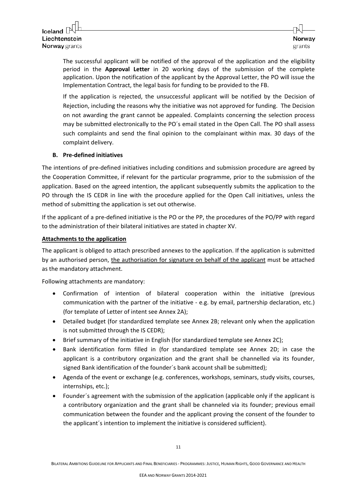The successful applicant will be notified of the approval of the application and the eligibility period in the **Approval Letter** in 20 working days of the submission of the complete application. Upon the notification of the applicant by the Approval Letter, the PO will issue the Implementation Contract, the legal basis for funding to be provided to the FB.

If the application is rejected, the unsuccessful applicant will be notified by the Decision of Rejection, including the reasons why the initiative was not approved for funding. The Decision on not awarding the grant cannot be appealed. Complaints concerning the selection process may be submitted electronically to the PO´s email stated in the Open Call. The PO shall assess such complaints and send the final opinion to the complainant within max. 30 days of the complaint delivery.

#### **B. Pre-defined initiatives**

The intentions of pre-defined initiatives including conditions and submission procedure are agreed by the Cooperation Committee, if relevant for the particular programme, prior to the submission of the application. Based on the agreed intention, the applicant subsequently submits the application to the PO through the IS CEDR in line with the procedure applied for the Open Call initiatives, unless the method of submitting the application is set out otherwise.

If the applicant of a pre-defined initiative is the PO or the PP, the procedures of the PO/PP with regard to the administration of their bilateral initiatives are stated in chapter XV.

#### **Attachments to the application**

The applicant is obliged to attach prescribed annexes to the application. If the application is submitted by an authorised person, the authorisation for signature on behalf of the applicant must be attached as the mandatory attachment.

Following attachments are mandatory:

- Confirmation of intention of bilateral cooperation within the initiative (previous communication with the partner of the initiative - e.g. by email, partnership declaration, etc.) (for template of Letter of intent see Annex 2A);
- Detailed budget (for standardized template see Annex 2B; relevant only when the application is not submitted through the IS CEDR);
- Brief summary of the initiative in English (for standardized template see Annex 2C);
- Bank identification form filled in (for standardized template see Annex 2D; in case the applicant is a contributory organization and the grant shall be channelled via its founder, signed Bank identification of the founder´s bank account shall be submitted);
- Agenda of the event or exchange (e.g. conferences, workshops, seminars, study visits, courses, internships, etc.);
- Founder´s agreement with the submission of the application (applicable only if the applicant is a contributory organization and the grant shall be channeled via its founder; previous email communication between the founder and the applicant proving the consent of the founder to the applicant´s intention to implement the initiative is considered sufficient).

BILATERAL AMBITIONS GUIDELINE FOR APPLICANTS AND FINAL BENEFICIARIES - PROGRAMMES: JUSTICE, HUMAN RIGHTS, GOOD GOVERNANCE AND HEALTH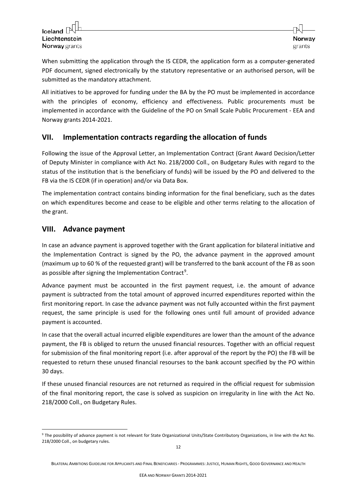When submitting the application through the IS CEDR, the application form as a computer-generated PDF document, signed electronically by the statutory representative or an authorised person, will be submitted as the mandatory attachment.

All initiatives to be approved for funding under the BA by the PO must be implemented in accordance with the principles of economy, efficiency and effectiveness. Public procurements must be implemented in accordance with the Guideline of the PO on Small Scale Public Procurement - EEA and Norway grants 2014-2021.

## <span id="page-11-0"></span>**VII. Implementation contracts regarding the allocation of funds**

Following the issue of the Approval Letter, an Implementation Contract (Grant Award Decision/Letter of Deputy Minister in compliance with Act No. 218/2000 Coll., on Budgetary Rules with regard to the status of the institution that is the beneficiary of funds) will be issued by the PO and delivered to the FB via the IS CEDR (if in operation) and/or via Data Box.

The implementation contract contains binding information for the final beneficiary, such as the dates on which expenditures become and cease to be eligible and other terms relating to the allocation of the grant.

## <span id="page-11-1"></span>**VIII. Advance payment**

In case an advance payment is approved together with the Grant application for bilateral initiative and the Implementation Contract is signed by the PO, the advance payment in the approved amount (maximum up to 60 % of the requested grant) will be transferred to the bank account of the FB as soon as possible after signing the Implementation Contract<sup>[9](#page-11-2)</sup>.

Advance payment must be accounted in the first payment request, i.e. the amount of advance payment is subtracted from the total amount of approved incurred expenditures reported within the first monitoring report. In case the advance payment was not fully accounted within the first payment request, the same principle is used for the following ones until full amount of provided advance payment is accounted.

In case that the overall actual incurred eligible expenditures are lower than the amount of the advance payment, the FB is obliged to return the unused financial resources. Together with an official request for submission of the final monitoring report (i.e. after approval of the report by the PO) the FB will be requested to return these unused financial resourses to the bank account specified by the PO within 30 days.

If these unused financial resources are not returned as required in the official request for submission of the final monitoring report, the case is solved as suspicion on irregularity in line with the Act No. 218/2000 Coll., on Budgetary Rules.

<span id="page-11-2"></span><sup>-</sup><sup>9</sup> The possibility of advance payment is not relevant for State Organizational Units/State Contributory Organizations, in line with the Act No. 218/2000 Coll., on budgetary rules.

BILATERAL AMBITIONS GUIDELINE FOR APPLICANTS AND FINAL BENEFICIARIES - PROGRAMMES: JUSTICE, HUMAN RIGHTS, GOOD GOVERNANCE AND HEALTH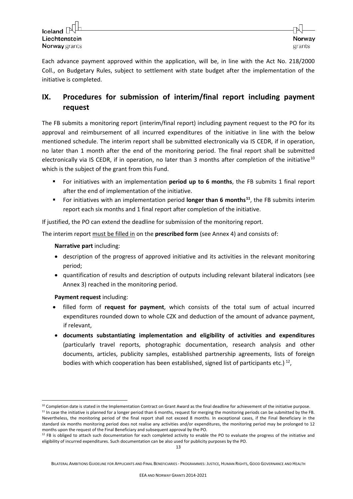Each advance payment approved within the application, will be, in line with the Act No. 218/2000 Coll., on Budgetary Rules, subject to settlement with state budget after the implementation of the initiative is completed.

# <span id="page-12-0"></span>**IX. Procedures for submission of interim/final report including payment request**

The FB submits a monitoring report (interim/final report) including payment request to the PO for its approval and reimbursement of all incurred expenditures of the initiative in line with the below mentioned schedule. The interim report shall be submitted electronically via IS CEDR, if in operation, no later than 1 month after the end of the monitoring period. The final report shall be submitted electronically via IS CEDR, if in operation, no later than 3 months after completion of the initiative<sup>[10](#page-12-1)</sup> which is the subject of the grant from this Fund.

- For initiatives with an implementation **period up to 6 months**, the FB submits 1 final report after the end of implementation of the initiative.
- For initiatives with an implementation period **longer than 6 months[11](#page-12-2)**, the FB submits interim report each six months and 1 final report after completion of the initiative.

If justified, the PO can extend the deadline for submission of the monitoring report.

The interim report must be filled in on the **prescribed form** (see Annex 4) and consists of:

#### **Narrative part** including:

- description of the progress of approved initiative and its activities in the relevant monitoring period;
- quantification of results and description of outputs including relevant bilateral indicators (see Annex 3) reached in the monitoring period.

#### **Payment request** including:

1

- filled form of **request for payment**, which consists of the total sum of actual incurred expenditures rounded down to whole CZK and deduction of the amount of advance payment, if relevant,
- **documents substantiating implementation and eligibility of activities and expenditures** (particularly travel reports, photographic documentation, research analysis and other documents, articles, publicity samples, established partnership agreements, lists of foreign bodies with which cooperation has been established, signed list of participants etc.)  $^{12}$  $^{12}$  $^{12}$ ,

<sup>&</sup>lt;sup>10</sup> Completion date is stated in the Implementation Contract on Grant Award as the final deadline for achievement of the initiative purpose.

<span id="page-12-2"></span><span id="page-12-1"></span> $11$  In case the initiative is planned for a longer period than 6 months, request for merging the monitoring periods can be submitted by the FB. Nevertheless, the monitoring period of the final report shall not exceed 8 months. In exceptional cases, if the Final Beneficiary in the standard six months monitoring period does not realise any activities and/or expenditures, the monitoring period may be prolonged to 12 months upon the request of the Final Beneficiary and subsequent approval by the PO.

<span id="page-12-3"></span> $12$  FB is obliged to attach such documentation for each completed activity to enable the PO to evaluate the progress of the initiative and eligibility of incurred expenditures. Such documentation can be also used for publicity purposes by the PO.

BILATERAL AMBITIONS GUIDELINE FOR APPLICANTS AND FINAL BENEFICIARIES - PROGRAMMES: JUSTICE, HUMAN RIGHTS, GOOD GOVERNANCE AND HEALTH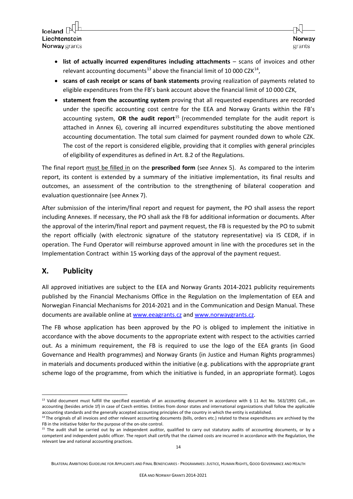Iceland  $\square$ Liechtenstein **Norway** grants

- **list of actually incurred expenditures including attachments** scans of invoices and other relevant accounting documents<sup>[13](#page-13-1)</sup> above the financial limit of 10 000 CZK<sup>[14](#page-13-2)</sup>,
- **scans of cash receipt or scans of bank statements** proving realization of payments related to eligible expenditures from the FB's bank account above the financial limit of 10 000 CZK,
- **statement from the accounting system** proving that all requested expenditures are recorded under the specific accounting cost centre for the EEA and Norway Grants within the FB's accounting system, **OR the audit report**[15](#page-13-3) (recommended template for the audit report is attached in Annex 6), covering all incurred expenditures substituting the above mentioned accounting documentation. The total sum claimed for payment rounded down to whole CZK. The cost of the report is considered eligible, providing that it complies with general principles of eligibility of expenditures as defined in Art. 8.2 of the Regulations.

The final report must be filled in on the **prescribed form** (see Annex 5). As compared to the interim report, its content is extended by a summary of the initiative implementation, its final results and outcomes, an assessment of the contribution to the strengthening of bilateral cooperation and evaluation questionnaire (see Annex 7).

After submission of the interim/final report and request for payment, the PO shall assess the report including Annexes. If necessary, the PO shall ask the FB for additional information or documents. After the approval of the interim/final report and payment request, the FB is requested by the PO to submit the report officially (with electronic signature of the statutory representative) via IS CEDR, if in operation. The Fund Operator will reimburse approved amount in line with the procedures set in the Implementation Contract within 15 working days of the approval of the payment request.

## <span id="page-13-0"></span>**X. Publicity**

-

All approved initiatives are subject to the EEA and Norway Grants 2014-2021 publicity requirements published by the Financial Mechanisms Office in the Regulation on the Implementation of EEA and Norwegian Financial Mechanisms for 2014-2021 and in the Communication and Design Manual. These documents are available online at www.eeagrants.cz and www.norwaygrants.cz.

The FB whose application has been approved by the PO is obliged to implement the initiative in accordance with the above documents to the appropriate extent with respect to the activities carried out. As a minimum requirement, the FB is required to use the logo of the EEA grants (in Good Governance and Health programmes) and Norway Grants (in Justice and Human Rights programmes) in materials and documents produced within the initiative (e.g. publications with the appropriate grant scheme logo of the programme, from which the initiative is funded, in an appropriate format). Logos

<span id="page-13-1"></span> $13$  Valid document must fulfill the specified essentials of an accounting document in accordance with § 11 Act No. 563/1991 Coll., on accounting (besides article 1f) in case of Czech entities. Entities from donor states and international organizations shall follow the applicable

<span id="page-13-2"></span>accounting standards and the generally accepted accounting principles of the country in which the entity is established.<br><sup>14</sup> The originals of all invoices and other relevant accounting documents (bills, orders etc.) relat FB in the initiative folder for the purpose of the on-site control.

<span id="page-13-3"></span><sup>&</sup>lt;sup>15</sup> The audit shall be carried out by an independent auditor, qualified to carry out statutory audits of accounting documents, or by a competent and independent public officer. The report shall certify that the claimed costs are incurred in accordance with the Regulation, the relevant law and national accounting practices.

BILATERAL AMBITIONS GUIDELINE FOR APPLICANTS AND FINAL BENEFICIARIES - PROGRAMMES: JUSTICE, HUMAN RIGHTS, GOOD GOVERNANCE AND HEALTH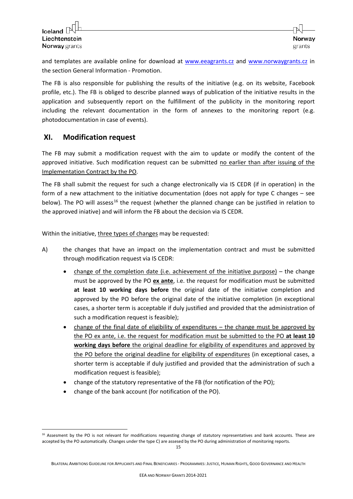-

and templates are available online for download at [www.eeagrants.cz](http://www.eeagrants.cz/) and [www.norwaygrants.cz](http://www.norwaygrants.cz/) in the section General Information - Promotion.

The FB is also responsible for publishing the results of the initiative (e.g. on its website, Facebook profile, etc.). The FB is obliged to describe planned ways of publication of the initiative results in the application and subsequently report on the fulfillment of the publicity in the monitoring report including the relevant documentation in the form of annexes to the monitoring report (e.g. photodocumentation in case of events).

### <span id="page-14-0"></span>**XI. Modification request**

The FB may submit a modification request with the aim to update or modify the content of the approved initiative. Such modification request can be submitted no earlier than after issuing of the Implementation Contract by the PO.

The FB shall submit the request for such a change electronically via IS CEDR (if in operation) in the form of a new attachment to the initiative documentation (does not apply for type C changes – see below). The PO will assess<sup>[16](#page-14-1)</sup> the request (whether the planned change can be justified in relation to the approved iniative) and will inform the FB about the decision via IS CEDR.

Within the initiative, three types of changes may be requested:

- A) the changes that have an impact on the implementation contract and must be submitted through modification request via IS CEDR:
	- change of the completion date (i.e. achievement of the initiative purpose) the change must be approved by the PO **ex ante**, i.e. the request for modification must be submitted **at least 10 working days before** the original date of the initiative completion and approved by the PO before the original date of the initiative completion (in exceptional cases, a shorter term is acceptable if duly justified and provided that the administration of such a modification request is feasible);
	- change of the final date of eligibility of expenditures the change must be approved by the PO ex ante, i.e. the request for modification must be submitted to the PO **at least 10 working days before** the original deadline for eligibility of expenditures and approved by the PO before the original deadline for eligibility of expenditures (in exceptional cases, a shorter term is acceptable if duly justified and provided that the administration of such a modification request is feasible);
	- change of the statutory representative of the FB (for notification of the PO);
	- change of the bank account (for notification of the PO).

<span id="page-14-1"></span><sup>&</sup>lt;sup>16</sup> Assesment by the PO is not relevant for modifications requesting change of statutory representatives and bank accounts. These are accepted by the PO automatically. Changes under the type C) are assesed by the PO during administration of monitoring reports.

BILATERAL AMBITIONS GUIDELINE FOR APPLICANTS AND FINAL BENEFICIARIES - PROGRAMMES: JUSTICE, HUMAN RIGHTS, GOOD GOVERNANCE AND HEALTH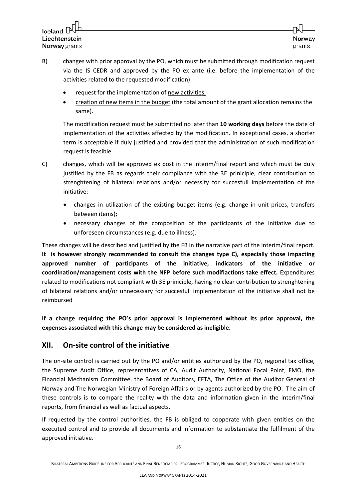Iceland  $\square$ Liechtenstein **Norway** grants

- B) changes with prior approval by the PO, which must be submitted through modification request via the IS CEDR and approved by the PO ex ante (i.e. before the implementation of the activities related to the requested modification):
	- request for the implementation of new activities;
	- creation of new items in the budget (the total amount of the grant allocation remains the same).

The modification request must be submitted no later than **10 working days** before the date of implementation of the activities affected by the modification. In exceptional cases, a shorter term is acceptable if duly justified and provided that the administration of such modification request is feasible.

- C) changes, which will be approved ex post in the interim/final report and which must be duly justified by the FB as regards their compliance with the 3E priniciple, clear contribution to strenghtening of bilateral relations and/or necessity for succesfull implementation of the initiative:
	- changes in utilization of the existing budget items (e.g. change in unit prices, transfers between items);
	- necessary changes of the composition of the participants of the initiative due to unforeseen circumstances (e.g. due to illness).

These changes will be described and justified by the FB in the narrative part of the interim/final report. **It is however strongly recommended to consult the changes type C), especially those impacting approved number of participants of the initiative, indicators of the initiative or coordination/management costs with the NFP before such modifiactions take effect.** Expenditures related to modifications not compliant with 3E priniciple, having no clear contribution to strenghtening of bilateral relations and/or unnecessary for succesfull implementation of the initiative shall not be reimbursed

**If a change requiring the PO's prior approval is implemented without its prior approval, the expenses associated with this change may be considered as ineligible.**

## <span id="page-15-0"></span>**XII. On-site control of the initiative**

The on-site control is carried out by the PO and/or entities authorized by the PO, regional tax office, the Supreme Audit Office, representatives of CA, Audit Authority, National Focal Point, FMO, the Financial Mechanism Committee, the Board of Auditors, EFTA, The Office of the Auditor General of Norway and The Norwegian Ministry of Foreign Affairs or by agents authorized by the PO. The aim of these controls is to compare the reality with the data and information given in the interim/final reports, from financial as well as factual aspects.

If requested by the control authorities, the FB is obliged to cooperate with given entities on the executed control and to provide all documents and information to substantiate the fulfilment of the approved initiative.

BILATERAL AMBITIONS GUIDELINE FOR APPLICANTS AND FINAL BENEFICIARIES - PROGRAMMES: JUSTICE, HUMAN RIGHTS, GOOD GOVERNANCE AND HEALTH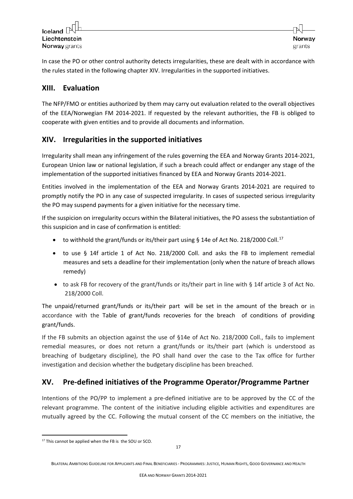In case the PO or other control authority detects irregularities, these are dealt with in accordance with the rules stated in the following chapter XIV. Irregularities in the supported initiatives.

## <span id="page-16-0"></span>**XIII. Evaluation**

The NFP/FMO or entities authorized by them may carry out evaluation related to the overall objectives of the EEA/Norwegian FM 2014-2021. If requested by the relevant authorities, the FB is obliged to cooperate with given entities and to provide all documents and information.

## <span id="page-16-1"></span>**XIV. Irregularities in the supported initiatives**

Irregularity shall mean any infringement of the rules governing the EEA and Norway Grants 2014-2021, European Union law or national legislation, if such a breach could affect or endanger any stage of the implementation of the supported initiatives financed by EEA and Norway Grants 2014-2021.

Entities involved in the implementation of the EEA and Norway Grants 2014-2021 are required to promptly notify the PO in any case of suspected irregularity. In cases of suspected serious irregularity the PO may suspend payments for a given initiative for the necessary time.

If the suspicion on irregularity occurs within the Bilateral initiatives, the PO assess the substantiation of this suspicion and in case of confirmation is entitled:

- to withhold the grant/funds or its/their part using § 14e of Act No. 218/2000 Coll.<sup>[17](#page-16-3)</sup>
- to use § 14f article 1 of Act No. 218/2000 Coll. and asks the FB to implement remedial measures and sets a deadline for their implementation (only when the nature of breach allows remedy)
- to ask FB for recovery of the grant/funds or its/their part in line with § 14f article 3 of Act No. 218/2000 Coll.

The unpaid/returned grant/funds or its/their part will be set in the amount of the breach or in accordance with the Table of grant/funds recoveries for the breach of conditions of providing grant/funds.

If the FB submits an objection against the use of §14e of Act No. 218/2000 Coll., fails to implement remedial measures, or does not return a grant/funds or its/their part (which is understood as breaching of budgetary discipline), the PO shall hand over the case to the Tax office for further investigation and decision whether the budgetary discipline has been breached.

## <span id="page-16-2"></span>**XV. Pre-defined initiatives of the Programme Operator/Programme Partner**

Intentions of the PO/PP to implement a pre-defined initiative are to be approved by the CC of the relevant programme. The content of the initiative including eligible activities and expenditures are mutually agreed by the CC. Following the mutual consent of the CC members on the initiative, the

<span id="page-16-3"></span><sup>&</sup>lt;u>.</u> <sup>17</sup> This cannot be applied when the FB is the SOU or SCO.

BILATERAL AMBITIONS GUIDELINE FOR APPLICANTS AND FINAL BENEFICIARIES - PROGRAMMES: JUSTICE, HUMAN RIGHTS, GOOD GOVERNANCE AND HEALTH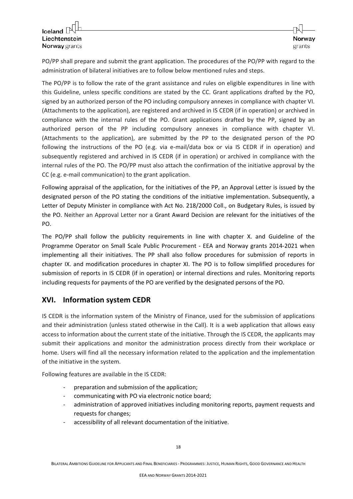PO/PP shall prepare and submit the grant application. The procedures of the PO/PP with regard to the administration of bilateral initiatives are to follow below mentioned rules and steps.

The PO/PP is to follow the rate of the grant assistance and rules on eligible expenditures in line with this Guideline, unless specific conditions are stated by the CC. Grant applications drafted by the PO, signed by an authorized person of the PO including compulsory annexes in compliance with chapter VI. (Attachments to the application), are registered and archived in IS CEDR (if in operation) or archived in compliance with the internal rules of the PO. Grant applications drafted by the PP, signed by an authorized person of the PP including compulsory annexes in compliance with chapter VI. (Attachments to the application), are submitted by the PP to the designated person of the PO following the instructions of the PO (e.g. via e-mail/data box or via IS CEDR if in operation) and subsequently registered and archived in IS CEDR (if in operation) or archived in compliance with the internal rules of the PO. The PO/PP must also attach the confirmation of the initiative approval by the CC (e.g. e-mail communication) to the grant application.

Following appraisal of the application, for the initiatives of the PP, an Approval Letter is issued by the designated person of the PO stating the conditions of the initiative implementation. Subsequently, a Letter of Deputy Minister in compliance with Act No. 218/2000 Coll., on Budgetary Rules, is issued by the PO. Neither an Approval Letter nor a Grant Award Decision are relevant for the initiatives of the PO.

The PO/PP shall follow the publicity requirements in line with chapter X. and Guideline of the Programme Operator on Small Scale Public Procurement - EEA and Norway grants 2014-2021 when implementing all their initiatives. The PP shall also follow procedures for submission of reports in chapter IX. and modification procedures in chapter XI. The PO is to follow simplified procedures for submission of reports in IS CEDR (if in operation) or internal directions and rules. Monitoring reports including requests for payments of the PO are verified by the designated persons of the PO.

## <span id="page-17-0"></span>**XVI. Information system CEDR**

IS CEDR is the information system of the Ministry of Finance, used for the submission of applications and their administration (unless stated otherwise in the Call). It is a web application that allows easy access to information about the current state of the initiative. Through the IS CEDR, the applicants may submit their applications and monitor the administration process directly from their workplace or home. Users will find all the necessary information related to the application and the implementation of the initiative in the system.

Following features are available in the IS CEDR:

- preparation and submission of the application;
- communicating with PO via electronic notice board;
- administration of approved initiatives including monitoring reports, payment requests and requests for changes;
- accessibility of all relevant documentation of the initiative.

BILATERAL AMBITIONS GUIDELINE FOR APPLICANTS AND FINAL BENEFICIARIES - PROGRAMMES: JUSTICE, HUMAN RIGHTS, GOOD GOVERNANCE AND HEALTH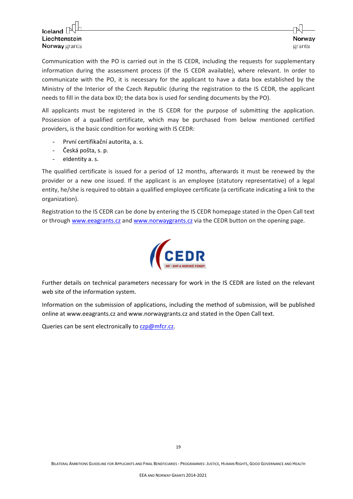Communication with the PO is carried out in the IS CEDR, including the requests for supplementary information during the assessment process (if the IS CEDR available), where relevant. In order to communicate with the PO, it is necessary for the applicant to have a data box established by the Ministry of the Interior of the Czech Republic (during the registration to the IS CEDR, the applicant needs to fill in the data box ID; the data box is used for sending documents by the PO).

All applicants must be registered in the IS CEDR for the purpose of submitting the application. Possession of a qualified certificate, which may be purchased from below mentioned certified providers, is the basic condition for working with IS CEDR:

- První certifikační autorita, a. s.
- Česká pošta, s. p.
- eIdentity a. s.

The qualified certificate is issued for a period of 12 months, afterwards it must be renewed by the provider or a new one issued. If the applicant is an employee (statutory representative) of a legal entity, he/she is required to obtain a qualified employee certificate (a certificate indicating a link to the organization).

Registration to the IS CEDR can be done by entering the IS CEDR homepage stated in the Open Call text or through [www.eeagrants.cz](http://www.eeagrants.cz/) and [www.norwaygrants.cz](http://www.norwaygrants.cz/) via the CEDR button on the opening page.



Further details on technical parameters necessary for work in the IS CEDR are listed on the relevant web site of the information system.

Information on the submission of applications, including the method of submission, will be published online at www.eeagrants.cz and www.norwaygrants.cz and stated in the Open Call text.

Queries can be sent electronically to [czp@mfcr.cz.](mailto:czp@mfcr.cz)

19